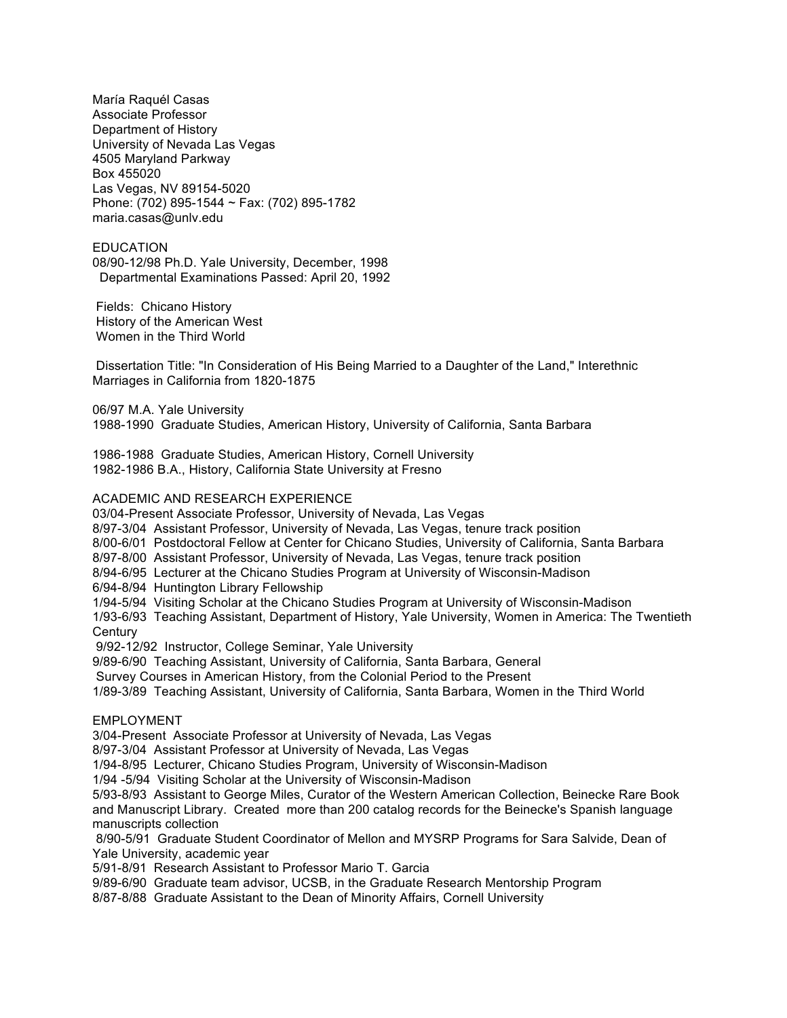María Raquél Casas Associate Professor Department of History University of Nevada Las Vegas 4505 Maryland Parkway Box 455020 Las Vegas, NV 89154-5020 Phone: (702) 895-1544 ~ Fax: (702) 895-1782 maria.casas@unlv.edu

EDUCATION 08/90-12/98 Ph.D. Yale University, December, 1998 Departmental Examinations Passed: April 20, 1992

Fields: Chicano History History of the American West Women in the Third World

Dissertation Title: "In Consideration of His Being Married to a Daughter of the Land," Interethnic Marriages in California from 1820-1875

06/97 M.A. Yale University 1988-1990 Graduate Studies, American History, University of California, Santa Barbara

1986-1988 Graduate Studies, American History, Cornell University 1982-1986 B.A., History, California State University at Fresno

#### ACADEMIC AND RESEARCH EXPERIENCE

03/04-Present Associate Professor, University of Nevada, Las Vegas

8/97-3/04 Assistant Professor, University of Nevada, Las Vegas, tenure track position

8/00-6/01 Postdoctoral Fellow at Center for Chicano Studies, University of California, Santa Barbara

8/97-8/00 Assistant Professor, University of Nevada, Las Vegas, tenure track position

8/94-6/95 Lecturer at the Chicano Studies Program at University of Wisconsin-Madison

6/94-8/94 Huntington Library Fellowship

1/94-5/94 Visiting Scholar at the Chicano Studies Program at University of Wisconsin-Madison

1/93-6/93 Teaching Assistant, Department of History, Yale University, Women in America: The Twentieth **Century** 

9/92-12/92 Instructor, College Seminar, Yale University

9/89-6/90 Teaching Assistant, University of California, Santa Barbara, General

Survey Courses in American History, from the Colonial Period to the Present

1/89-3/89 Teaching Assistant, University of California, Santa Barbara, Women in the Third World

#### EMPLOYMENT

3/04-Present Associate Professor at University of Nevada, Las Vegas

8/97-3/04 Assistant Professor at University of Nevada, Las Vegas

1/94-8/95 Lecturer, Chicano Studies Program, University of Wisconsin-Madison

1/94 -5/94 Visiting Scholar at the University of Wisconsin-Madison

5/93-8/93 Assistant to George Miles, Curator of the Western American Collection, Beinecke Rare Book and Manuscript Library. Created more than 200 catalog records for the Beinecke's Spanish language manuscripts collection

8/90-5/91 Graduate Student Coordinator of Mellon and MYSRP Programs for Sara Salvide, Dean of Yale University, academic year

5/91-8/91 Research Assistant to Professor Mario T. Garcia

9/89-6/90 Graduate team advisor, UCSB, in the Graduate Research Mentorship Program

8/87-8/88 Graduate Assistant to the Dean of Minority Affairs, Cornell University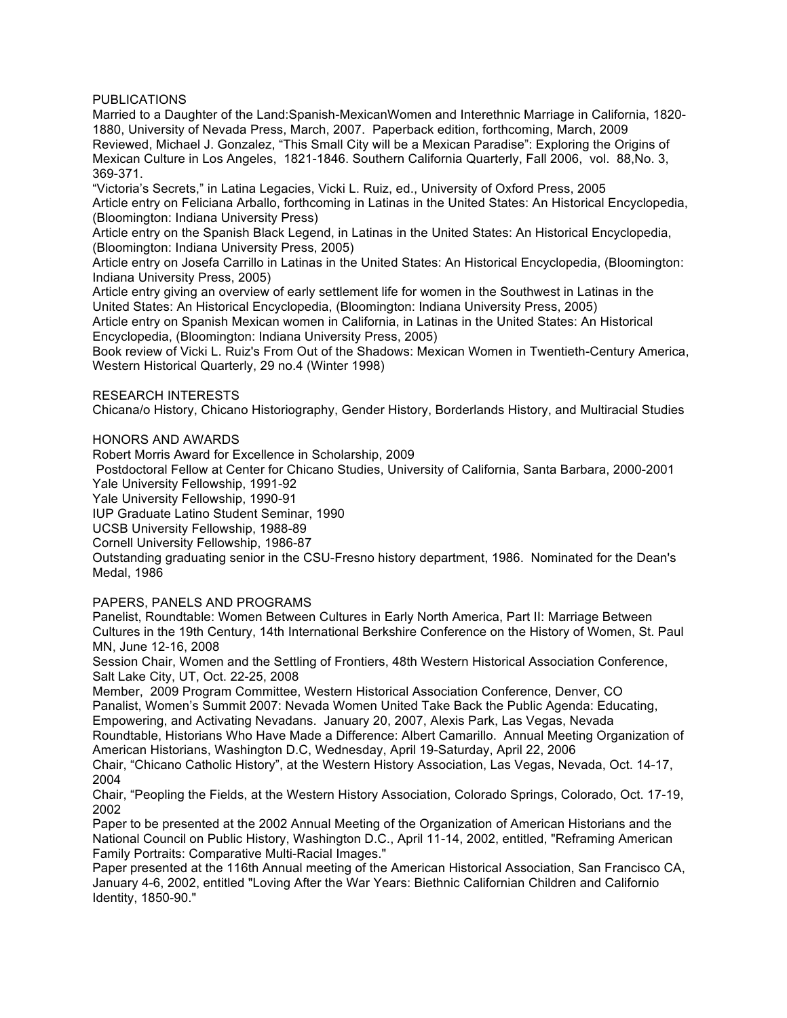## PUBLICATIONS

Married to a Daughter of the Land:Spanish-MexicanWomen and Interethnic Marriage in California, 1820- 1880, University of Nevada Press, March, 2007. Paperback edition, forthcoming, March, 2009 Reviewed, Michael J. Gonzalez, "This Small City will be a Mexican Paradise": Exploring the Origins of Mexican Culture in Los Angeles, 1821-1846. Southern California Quarterly, Fall 2006, vol. 88,No. 3, 369-371.

"Victoria's Secrets," in Latina Legacies, Vicki L. Ruiz, ed., University of Oxford Press, 2005 Article entry on Feliciana Arballo, forthcoming in Latinas in the United States: An Historical Encyclopedia, (Bloomington: Indiana University Press)

Article entry on the Spanish Black Legend, in Latinas in the United States: An Historical Encyclopedia, (Bloomington: Indiana University Press, 2005)

Article entry on Josefa Carrillo in Latinas in the United States: An Historical Encyclopedia, (Bloomington: Indiana University Press, 2005)

Article entry giving an overview of early settlement life for women in the Southwest in Latinas in the United States: An Historical Encyclopedia, (Bloomington: Indiana University Press, 2005)

Article entry on Spanish Mexican women in California, in Latinas in the United States: An Historical Encyclopedia, (Bloomington: Indiana University Press, 2005)

Book review of Vicki L. Ruiz's From Out of the Shadows: Mexican Women in Twentieth-Century America, Western Historical Quarterly, 29 no.4 (Winter 1998)

#### RESEARCH INTERESTS

Chicana/o History, Chicano Historiography, Gender History, Borderlands History, and Multiracial Studies

HONORS AND AWARDS

Robert Morris Award for Excellence in Scholarship, 2009

Postdoctoral Fellow at Center for Chicano Studies, University of California, Santa Barbara, 2000-2001 Yale University Fellowship, 1991-92

Yale University Fellowship, 1990-91

IUP Graduate Latino Student Seminar, 1990

UCSB University Fellowship, 1988-89

Cornell University Fellowship, 1986-87

Outstanding graduating senior in the CSU-Fresno history department, 1986. Nominated for the Dean's Medal, 1986

## PAPERS, PANELS AND PROGRAMS

Panelist, Roundtable: Women Between Cultures in Early North America, Part II: Marriage Between Cultures in the 19th Century, 14th International Berkshire Conference on the History of Women, St. Paul MN, June 12-16, 2008

Session Chair, Women and the Settling of Frontiers, 48th Western Historical Association Conference, Salt Lake City, UT, Oct. 22-25, 2008

Member, 2009 Program Committee, Western Historical Association Conference, Denver, CO Panalist, Women's Summit 2007: Nevada Women United Take Back the Public Agenda: Educating, Empowering, and Activating Nevadans. January 20, 2007, Alexis Park, Las Vegas, Nevada Roundtable, Historians Who Have Made a Difference: Albert Camarillo. Annual Meeting Organization of American Historians, Washington D.C, Wednesday, April 19-Saturday, April 22, 2006

Chair, "Chicano Catholic History", at the Western History Association, Las Vegas, Nevada, Oct. 14-17, 2004

Chair, "Peopling the Fields, at the Western History Association, Colorado Springs, Colorado, Oct. 17-19, 2002

Paper to be presented at the 2002 Annual Meeting of the Organization of American Historians and the National Council on Public History, Washington D.C., April 11-14, 2002, entitled, "Reframing American Family Portraits: Comparative Multi-Racial Images."

Paper presented at the 116th Annual meeting of the American Historical Association, San Francisco CA, January 4-6, 2002, entitled "Loving After the War Years: Biethnic Californian Children and Californio Identity, 1850-90."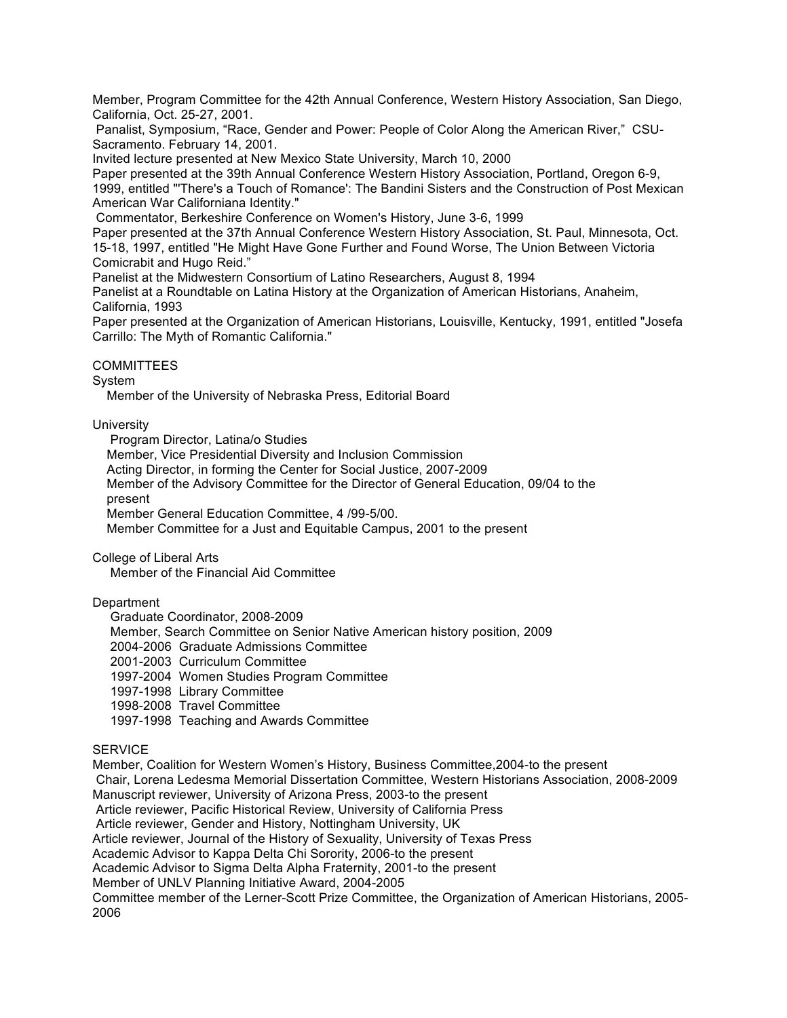Member, Program Committee for the 42th Annual Conference, Western History Association, San Diego, California, Oct. 25-27, 2001.

Panalist, Symposium, "Race, Gender and Power: People of Color Along the American River," CSU-Sacramento. February 14, 2001.

Invited lecture presented at New Mexico State University, March 10, 2000

Paper presented at the 39th Annual Conference Western History Association, Portland, Oregon 6-9, 1999, entitled "'There's a Touch of Romance': The Bandini Sisters and the Construction of Post Mexican American War Californiana Identity."

Commentator, Berkeshire Conference on Women's History, June 3-6, 1999

Paper presented at the 37th Annual Conference Western History Association, St. Paul, Minnesota, Oct. 15-18, 1997, entitled "He Might Have Gone Further and Found Worse, The Union Between Victoria Comicrabit and Hugo Reid."

Panelist at the Midwestern Consortium of Latino Researchers, August 8, 1994

Panelist at a Roundtable on Latina History at the Organization of American Historians, Anaheim, California, 1993

Paper presented at the Organization of American Historians, Louisville, Kentucky, 1991, entitled "Josefa Carrillo: The Myth of Romantic California."

## **COMMITTEES**

# System

Member of the University of Nebraska Press, Editorial Board

# **University**

 Program Director, Latina/o Studies Member, Vice Presidential Diversity and Inclusion Commission Acting Director, in forming the Center for Social Justice, 2007-2009 Member of the Advisory Committee for the Director of General Education, 09/04 to the present Member General Education Committee, 4 /99-5/00. Member Committee for a Just and Equitable Campus, 2001 to the present

College of Liberal Arts

Member of the Financial Aid Committee

## **Department**

Graduate Coordinator, 2008-2009

Member, Search Committee on Senior Native American history position, 2009

2004-2006 Graduate Admissions Committee

2001-2003 Curriculum Committee

1997-2004 Women Studies Program Committee

1997-1998 Library Committee

1998-2008 Travel Committee

1997-1998 Teaching and Awards Committee

## **SERVICE**

Member, Coalition for Western Women's History, Business Committee,2004-to the present Chair, Lorena Ledesma Memorial Dissertation Committee, Western Historians Association, 2008-2009 Manuscript reviewer, University of Arizona Press, 2003-to the present Article reviewer, Pacific Historical Review, University of California Press Article reviewer, Gender and History, Nottingham University, UK Article reviewer, Journal of the History of Sexuality, University of Texas Press Academic Advisor to Kappa Delta Chi Sorority, 2006-to the present Academic Advisor to Sigma Delta Alpha Fraternity, 2001-to the present Member of UNLV Planning Initiative Award, 2004-2005 Committee member of the Lerner-Scott Prize Committee, the Organization of American Historians, 2005- 2006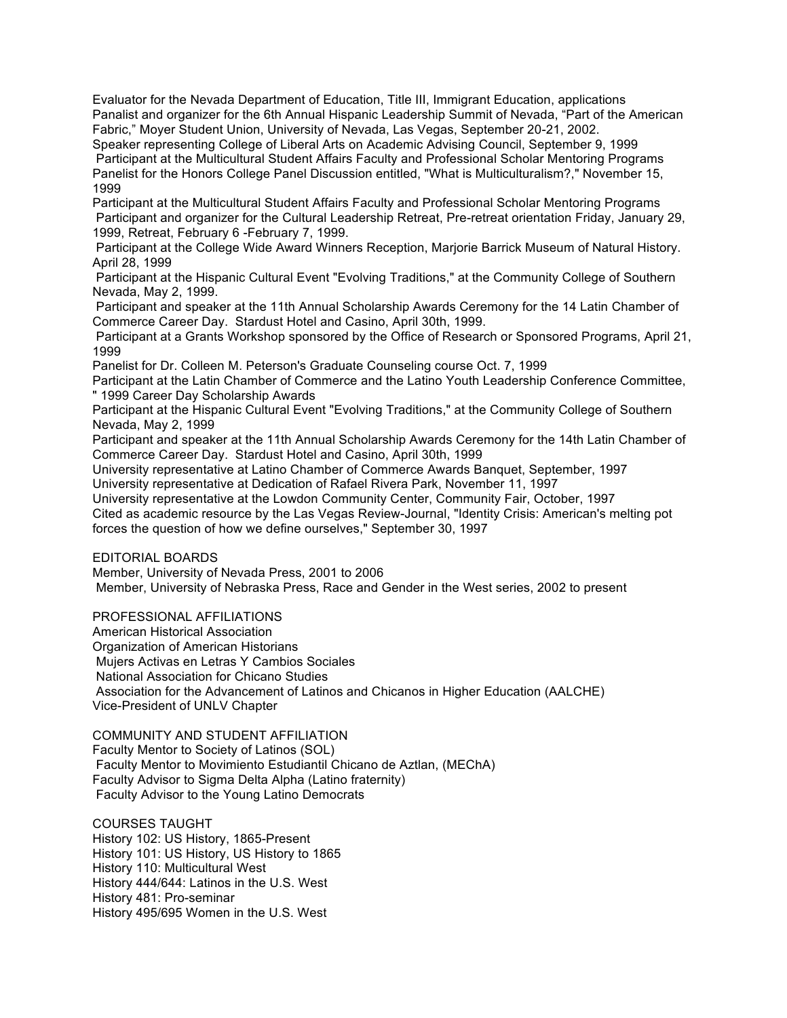Evaluator for the Nevada Department of Education, Title III, Immigrant Education, applications Panalist and organizer for the 6th Annual Hispanic Leadership Summit of Nevada, "Part of the American Fabric," Moyer Student Union, University of Nevada, Las Vegas, September 20-21, 2002.

Speaker representing College of Liberal Arts on Academic Advising Council, September 9, 1999 Participant at the Multicultural Student Affairs Faculty and Professional Scholar Mentoring Programs Panelist for the Honors College Panel Discussion entitled, "What is Multiculturalism?," November 15, 1999

Participant at the Multicultural Student Affairs Faculty and Professional Scholar Mentoring Programs Participant and organizer for the Cultural Leadership Retreat, Pre-retreat orientation Friday, January 29, 1999, Retreat, February 6 -February 7, 1999.

Participant at the College Wide Award Winners Reception, Marjorie Barrick Museum of Natural History. April 28, 1999

Participant at the Hispanic Cultural Event "Evolving Traditions," at the Community College of Southern Nevada, May 2, 1999.

Participant and speaker at the 11th Annual Scholarship Awards Ceremony for the 14 Latin Chamber of Commerce Career Day. Stardust Hotel and Casino, April 30th, 1999.

Participant at a Grants Workshop sponsored by the Office of Research or Sponsored Programs, April 21, 1999

Panelist for Dr. Colleen M. Peterson's Graduate Counseling course Oct. 7, 1999

Participant at the Latin Chamber of Commerce and the Latino Youth Leadership Conference Committee, " 1999 Career Day Scholarship Awards

Participant at the Hispanic Cultural Event "Evolving Traditions," at the Community College of Southern Nevada, May 2, 1999

Participant and speaker at the 11th Annual Scholarship Awards Ceremony for the 14th Latin Chamber of Commerce Career Day. Stardust Hotel and Casino, April 30th, 1999

University representative at Latino Chamber of Commerce Awards Banquet, September, 1997 University representative at Dedication of Rafael Rivera Park, November 11, 1997

University representative at the Lowdon Community Center, Community Fair, October, 1997 Cited as academic resource by the Las Vegas Review-Journal, "Identity Crisis: American's melting pot forces the question of how we define ourselves," September 30, 1997

EDITORIAL BOARDS

Member, University of Nevada Press, 2001 to 2006

Member, University of Nebraska Press, Race and Gender in the West series, 2002 to present

PROFESSIONAL AFFILIATIONS

American Historical Association

Organization of American Historians

Mujers Activas en Letras Y Cambios Sociales

National Association for Chicano Studies

Association for the Advancement of Latinos and Chicanos in Higher Education (AALCHE) Vice-President of UNLV Chapter

COMMUNITY AND STUDENT AFFILIATION Faculty Mentor to Society of Latinos (SOL) Faculty Mentor to Movimiento Estudiantil Chicano de Aztlan, (MEChA) Faculty Advisor to Sigma Delta Alpha (Latino fraternity) Faculty Advisor to the Young Latino Democrats

COURSES TAUGHT History 102: US History, 1865-Present History 101: US History, US History to 1865 History 110: Multicultural West History 444/644: Latinos in the U.S. West History 481: Pro-seminar History 495/695 Women in the U.S. West